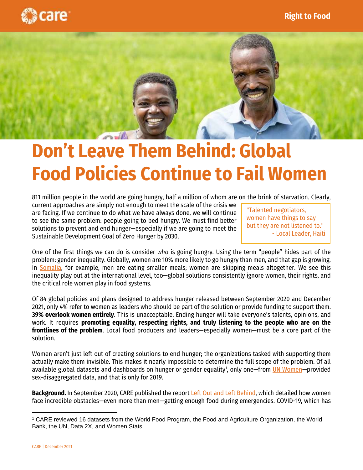



## **Don't Leave Them Behind: Global Food Policies Continue to Fail Women**

811 million people in the world are going hungry, half a million of whom are on the brink of starvation. Clearly,

current approaches are simply not enough to meet the scale of the crisis we are facing. If we continue to do what we have always done, we will continue to see the same problem: people going to bed hungry. We must find better solutions to prevent and end hunger—especially if we are going to meet the Sustainable Development Goal of Zero Hunger by 2030.

"Talented negotiators, women have things to say but they are not listened to." - Local Leader, Haiti

One of the first things we can do is consider *who* is going hungry. Using the term "people" hides part of the problem: gender inequality. Globally, women are 10% more likely to go hungry than men, and that gap is growing. In [Somalia,](http://www.careevaluations.org/evaluation/caresom-rapid-gender-analysis-august-2021/) for example, men are eating smaller meals; women are skipping meals altogether. We see this inequality play out at the international level, too—global solutions consistently ignore women, their rights, and the critical role women play in food systems.

Of 84 global policies and plans designed to address hunger released between September 2020 and December 2021, only 4% refer to women as leaders who should be part of the solution or provide funding to support them. **39% overlook women entirely**. This is unacceptable. Ending hunger will take everyone's talents, opinions, and work. It requires **promoting equality, respecting rights, and truly listening to the people who are on the frontlines of the problem**. Local food producers and leaders—especially women—must be a core part of the solution.

Women aren't just left out of creating solutions to end hunger; the organizations tasked with supporting them actually make them invisible. This makes it nearly impossible to determine the full scope of the problem. Of all available global datasets and dashboards on hunger or gender equality<sup>1</sup>, only one—from <u>[UN Women](https://data.unwomen.org/data-portal/sdg)</u>—provided sex-disaggregated data, and that is only for 2019.

**Background.** In September 2020, CARE published the report [Left Out and Left Behind,](https://www.care.org/wp-content/uploads/2020/08/Left-Out-and-Left-Behind.pdf) which detailed how women face incredible obstacles—even more than men—getting enough food during emergencies. COVID-19, which has

<sup>1</sup> CARE reviewed 16 datasets from the World Food Program, the Food and Agriculture Organization, the World Bank, the UN, Data 2X, and Women Stats.